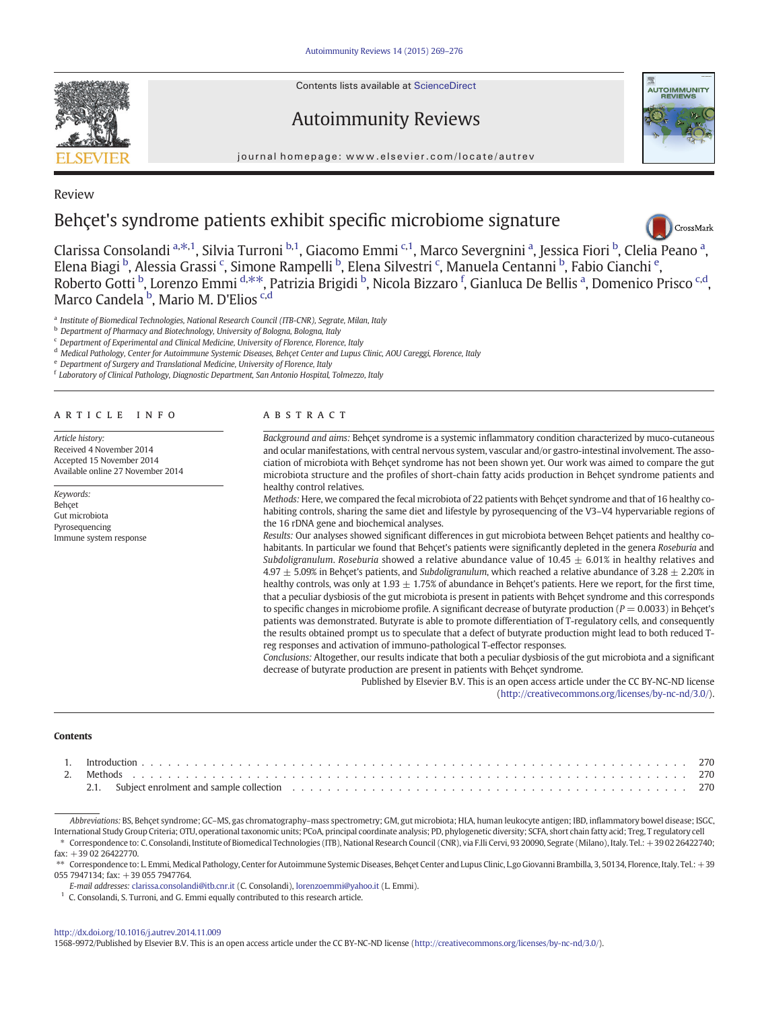Contents lists available at ScienceDirect

Review

Autoimmunity Reviews



journal homepage:<www.elsevier.com/locate/autrev>

# Behçet's syndrome patients exhibit specific microbiome signature



Cl[a](http://crossmark.crossref.org/dialog/?doi=10.1016/j.autrev.2014.11.009&domain=pdf)rissa Consolandi <sup>a, $\ast$ ,1</sup>, Silvia Turroni <sup>b,1</sup>, Giacomo Emmi <sup>c,1</sup>, Marco Severgnini <sup>a</sup>, Jessica Fiori <sup>b</sup>, Clelia Peano <sup>a</sup>, Elena Biagi <sup>b</sup>, Alessia Grassi <sup>c</sup>, Simone Rampelli <sup>b</sup>, Elena Silvestri <sup>c</sup>, Manuela Centanni <sup>b</sup>, Fabio Cianchi <sup>e</sup>, Roberto Gotti <sup>b</sup>, Lorenzo Emmi <sup>d,\*\*</sup>, Patrizia Brigidi <sup>b</sup>, Nicola Bizzaro <sup>f</sup>, Gianluca De Bellis <sup>a</sup>, Domenico Prisco <sup>c,d</sup>, Marco Candela <sup>b</sup>, Mario M. D'Elios <sup>c,d</sup>

<sup>a</sup> Institute of Biomedical Technologies, National Research Council (ITB-CNR), Segrate, Milan, Italy

**b** Department of Pharmacy and Biotechnology, University of Bologna, Bologna, Italy

<sup>c</sup> Department of Experimental and Clinical Medicine, University of Florence, Florence, Italy

<sup>d</sup> Medical Pathology, Center for Autoimmune Systemic Diseases, Behçet Center and Lupus Clinic, AOU Careggi, Florence, Italy

<sup>e</sup> Department of Surgery and Translational Medicine, University of Florence, Italy

<sup>f</sup> Laboratory of Clinical Pathology, Diagnostic Department, San Antonio Hospital, Tolmezzo, Italy

# article info abstract

Article history: Received 4 November 2014 Accepted 15 November 2014 Available online 27 November 2014

Keywords: Behçet Gut microbiota Pyrosequencing Immune system response

Background and aims: Behçet syndrome is a systemic inflammatory condition characterized by muco-cutaneous and ocular manifestations, with central nervous system, vascular and/or gastro-intestinal involvement. The association of microbiota with Behçet syndrome has not been shown yet. Our work was aimed to compare the gut microbiota structure and the profiles of short-chain fatty acids production in Behçet syndrome patients and healthy control relatives.

Methods: Here, we compared the fecal microbiota of 22 patients with Behçet syndrome and that of 16 healthy cohabiting controls, sharing the same diet and lifestyle by pyrosequencing of the V3–V4 hypervariable regions of the 16 rDNA gene and biochemical analyses.

Results: Our analyses showed significant differences in gut microbiota between Behçet patients and healthy cohabitants. In particular we found that Behçet's patients were significantly depleted in the genera Roseburia and Subdoligranulum. Roseburia showed a relative abundance value of 10.45  $\pm$  6.01% in healthy relatives and  $4.97 \pm 5.09\%$  in Behçet's patients, and Subdoligranulum, which reached a relative abundance of 3.28  $\pm$  2.20% in healthy controls, was only at 1.93  $\pm$  1.75% of abundance in Behçet's patients. Here we report, for the first time, that a peculiar dysbiosis of the gut microbiota is present in patients with Behçet syndrome and this corresponds to specific changes in microbiome profile. A significant decrease of butyrate production ( $P = 0.0033$ ) in Behçet's patients was demonstrated. Butyrate is able to promote differentiation of T-regulatory cells, and consequently the results obtained prompt us to speculate that a defect of butyrate production might lead to both reduced Treg responses and activation of immuno-pathological T-effector responses.

Conclusions: Altogether, our results indicate that both a peculiar dysbiosis of the gut microbiota and a significant decrease of butyrate production are present in patients with Behçet syndrome.

> Published by Elsevier B.V. This is an open access article under the CC BY-NC-ND license ([http://creativecommons.org/licenses/by-nc-nd/3.0/\)](http://creativecommons.org/licenses/by/3.0/).

#### **Contents**

| 2.1. Subject enrolment and sample collection electricity of the content of the collection of the collection of the collection electricity of the collection of the collection of the collection of the collection of the colle |  |
|--------------------------------------------------------------------------------------------------------------------------------------------------------------------------------------------------------------------------------|--|

Abbreviations: BS, Behçet syndrome; GC–MS, gas chromatography–mass spectrometry; GM, gut microbiota; HLA, human leukocyte antigen; IBD, inflammatory bowel disease; ISGC, International Study Group Criteria; OTU, operational taxonomic units; PCoA, principal coordinate analysis; PD, phylogenetic diversity; SCFA, short chain fatty acid; Treg, T regulatory cell Correspondence to: C. Consolandi, Institute of Biomedical Technologies (ITB), National Research Council (CNR), via F.lli Cervi, 93 20090, Segrate (Milano), Italy. Tel.: +39 02 26422740; fax: +39 02 26422770.

\*\* Correspondence to: L. Emmi, Medical Pathology, Center for Autoimmune Systemic Diseases, Behçet Center and Lupus Clinic, Lgo Giovanni Brambilla, 3, 50134, Florence, Italy. Tel.: +39 055 7947134; fax: +39 055 7947764.

E-mail addresses: [clarissa.consolandi@itb.cnr.it](mailto:clarissa.consolandi@itb.cnr.it) (C. Consolandi), [lorenzoemmi@yahoo.it](mailto:lorenzoemmi@yahoo.it) (L. Emmi).

 $1$  C. Consolandi, S. Turroni, and G. Emmi equally contributed to this research article.

#### <http://dx.doi.org/10.1016/j.autrev.2014.11.009>

1568-9972/Published by Elsevier B.V. This is an open access article under the CC BY-NC-ND license [\(http://creativecommons.org/licenses/by-nc-nd/3.0/\)](http://creativecommons.org/licenses/by/3.0/).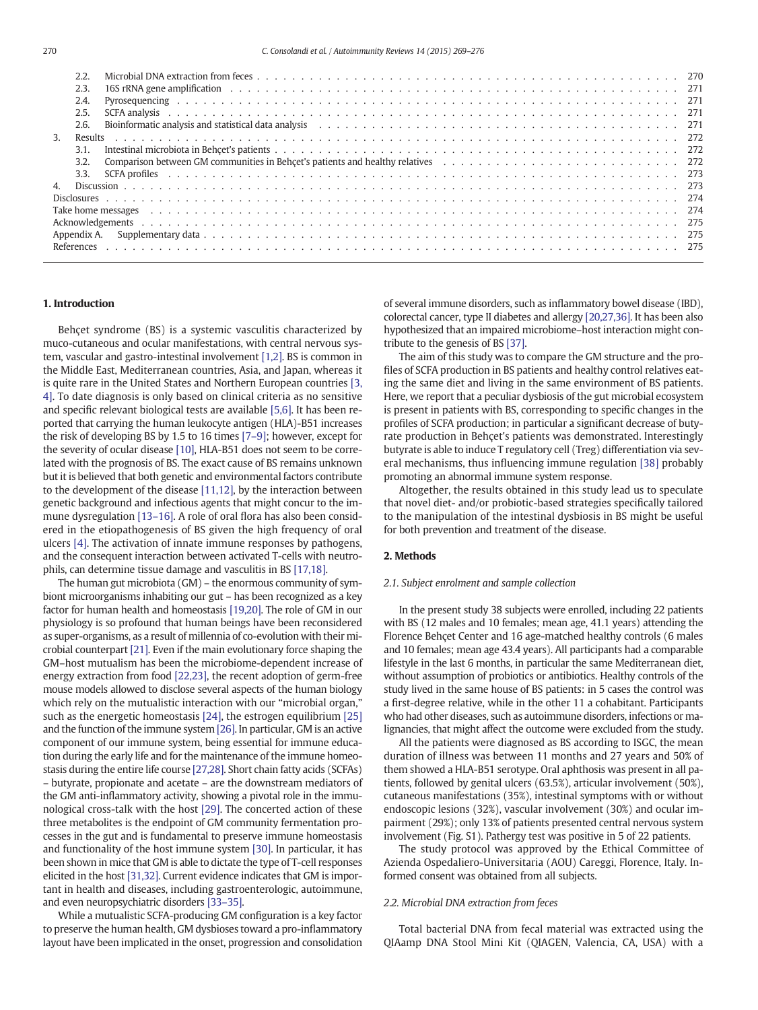| 270 | C. Consolandi et al. / Autoimmunity Reviews 14 (2015) 269–276                                                                                                                                                                          |  |
|-----|----------------------------------------------------------------------------------------------------------------------------------------------------------------------------------------------------------------------------------------|--|
|     | 2.2.                                                                                                                                                                                                                                   |  |
|     | 2.3.                                                                                                                                                                                                                                   |  |
|     | 2.4.                                                                                                                                                                                                                                   |  |
|     | 2.5.                                                                                                                                                                                                                                   |  |
|     | Bioinformatic analysis and statistical data analysis enterpreteration of the content of the content of the analysis and statistical data analysis enterpreteration of the content of the content of the content of the content<br>2.6. |  |
| 3.  | Results                                                                                                                                                                                                                                |  |
|     | 3.1.                                                                                                                                                                                                                                   |  |
|     | 3.2.                                                                                                                                                                                                                                   |  |
|     | 3.3.                                                                                                                                                                                                                                   |  |
| 4.  |                                                                                                                                                                                                                                        |  |
|     |                                                                                                                                                                                                                                        |  |
|     |                                                                                                                                                                                                                                        |  |
|     |                                                                                                                                                                                                                                        |  |
|     | Appendix A.                                                                                                                                                                                                                            |  |
|     |                                                                                                                                                                                                                                        |  |
|     |                                                                                                                                                                                                                                        |  |

# 1. Introduction

Behçet syndrome (BS) is a systemic vasculitis characterized by muco-cutaneous and ocular manifestations, with central nervous system, vascular and gastro-intestinal involvement [\[1,2\].](#page-6-0) BS is common in the Middle East, Mediterranean countries, Asia, and Japan, whereas it is quite rare in the United States and Northern European countries [\[3,](#page-6-0) [4\]](#page-6-0). To date diagnosis is only based on clinical criteria as no sensitive and specific relevant biological tests are available [\[5,6\].](#page-6-0) It has been reported that carrying the human leukocyte antigen (HLA)-B51 increases the risk of developing BS by 1.5 to 16 times [\[7](#page-6-0)–9]; however, except for the severity of ocular disease [\[10\],](#page-6-0) HLA-B51 does not seem to be correlated with the prognosis of BS. The exact cause of BS remains unknown but it is believed that both genetic and environmental factors contribute to the development of the disease [\[11,12\]](#page-6-0), by the interaction between genetic background and infectious agents that might concur to the immune dysregulation [\[13](#page-6-0)–16]. A role of oral flora has also been considered in the etiopathogenesis of BS given the high frequency of oral ulcers [\[4\]](#page-6-0). The activation of innate immune responses by pathogens, and the consequent interaction between activated T-cells with neutrophils, can determine tissue damage and vasculitis in BS [\[17,18\].](#page-6-0)

The human gut microbiota (GM) – the enormous community of symbiont microorganisms inhabiting our gut – has been recognized as a key factor for human health and homeostasis [\[19,20\]](#page-6-0). The role of GM in our physiology is so profound that human beings have been reconsidered as super-organisms, as a result of millennia of co-evolution with their microbial counterpart [\[21\]](#page-6-0). Even if the main evolutionary force shaping the GM–host mutualism has been the microbiome-dependent increase of energy extraction from food [\[22,23\],](#page-6-0) the recent adoption of germ-free mouse models allowed to disclose several aspects of the human biology which rely on the mutualistic interaction with our "microbial organ," such as the energetic homeostasis [\[24\],](#page-6-0) the estrogen equilibrium [\[25\]](#page-6-0) and the function of the immune system [\[26\]](#page-6-0). In particular, GM is an active component of our immune system, being essential for immune education during the early life and for the maintenance of the immune homeostasis during the entire life course [\[27,28\].](#page-6-0) Short chain fatty acids (SCFAs) – butyrate, propionate and acetate – are the downstream mediators of the GM anti-inflammatory activity, showing a pivotal role in the immunological cross-talk with the host [\[29\].](#page-6-0) The concerted action of these three metabolites is the endpoint of GM community fermentation processes in the gut and is fundamental to preserve immune homeostasis and functionality of the host immune system [\[30\].](#page-6-0) In particular, it has been shown in mice that GM is able to dictate the type of T-cell responses elicited in the host [\[31,32\]](#page-6-0). Current evidence indicates that GM is important in health and diseases, including gastroenterologic, autoimmune, and even neuropsychiatric disorders [\[33](#page-6-0)–35].

While a mutualistic SCFA-producing GM configuration is a key factor to preserve the human health, GM dysbioses toward a pro-inflammatory layout have been implicated in the onset, progression and consolidation of several immune disorders, such as inflammatory bowel disease (IBD), colorectal cancer, type II diabetes and allergy [\[20,27,36\]](#page-6-0). It has been also hypothesized that an impaired microbiome–host interaction might contribute to the genesis of BS [\[37\]](#page-6-0).

The aim of this study was to compare the GM structure and the profiles of SCFA production in BS patients and healthy control relatives eating the same diet and living in the same environment of BS patients. Here, we report that a peculiar dysbiosis of the gut microbial ecosystem is present in patients with BS, corresponding to specific changes in the profiles of SCFA production; in particular a significant decrease of butyrate production in Behçet's patients was demonstrated. Interestingly butyrate is able to induce T regulatory cell (Treg) differentiation via several mechanisms, thus influencing immune regulation [\[38\]](#page-6-0) probably promoting an abnormal immune system response.

Altogether, the results obtained in this study lead us to speculate that novel diet- and/or probiotic-based strategies specifically tailored to the manipulation of the intestinal dysbiosis in BS might be useful for both prevention and treatment of the disease.

# 2. Methods

#### 2.1. Subject enrolment and sample collection

In the present study 38 subjects were enrolled, including 22 patients with BS (12 males and 10 females; mean age, 41.1 years) attending the Florence Behçet Center and 16 age-matched healthy controls (6 males and 10 females; mean age 43.4 years). All participants had a comparable lifestyle in the last 6 months, in particular the same Mediterranean diet, without assumption of probiotics or antibiotics. Healthy controls of the study lived in the same house of BS patients: in 5 cases the control was a first-degree relative, while in the other 11 a cohabitant. Participants who had other diseases, such as autoimmune disorders, infections or malignancies, that might affect the outcome were excluded from the study.

All the patients were diagnosed as BS according to ISGC, the mean duration of illness was between 11 months and 27 years and 50% of them showed a HLA-B51 serotype. Oral aphthosis was present in all patients, followed by genital ulcers (63.5%), articular involvement (50%), cutaneous manifestations (35%), intestinal symptoms with or without endoscopic lesions (32%), vascular involvement (30%) and ocular impairment (29%); only 13% of patients presented central nervous system involvement (Fig. S1). Pathergy test was positive in 5 of 22 patients.

The study protocol was approved by the Ethical Committee of Azienda Ospedaliero-Universitaria (AOU) Careggi, Florence, Italy. Informed consent was obtained from all subjects.

# 2.2. Microbial DNA extraction from feces

Total bacterial DNA from fecal material was extracted using the QIAamp DNA Stool Mini Kit (QIAGEN, Valencia, CA, USA) with a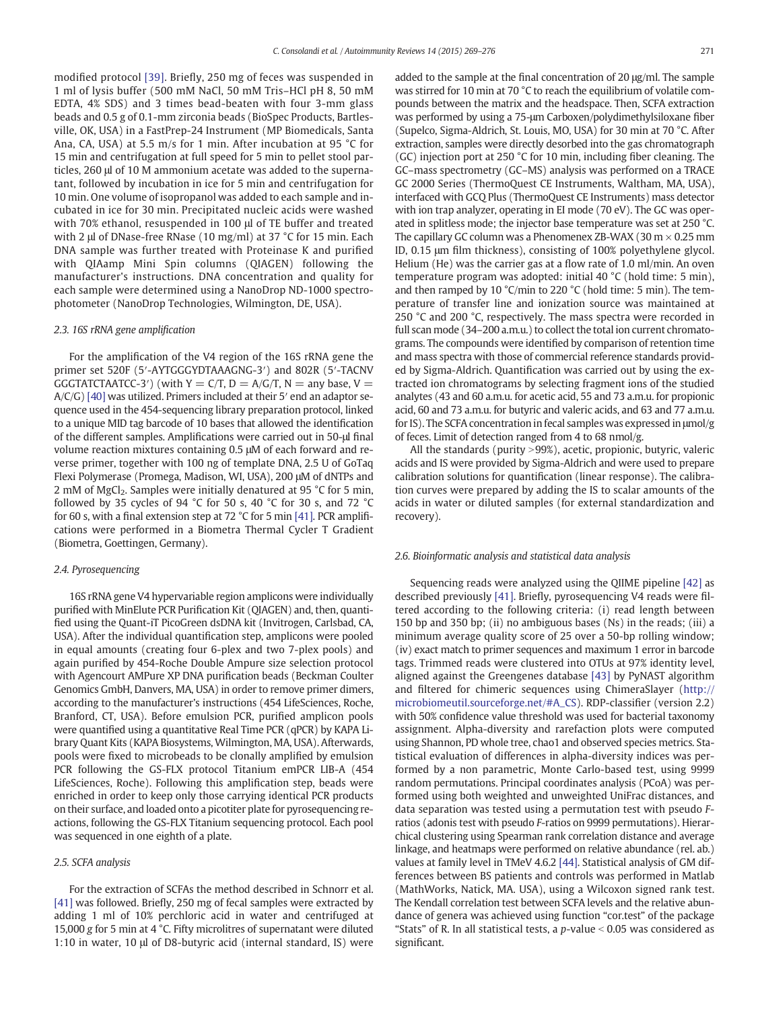modified protocol [\[39\]](#page-6-0). Briefly, 250 mg of feces was suspended in 1 ml of lysis buffer (500 mM NaCl, 50 mM Tris–HCl pH 8, 50 mM EDTA, 4% SDS) and 3 times bead-beaten with four 3-mm glass beads and 0.5 g of 0.1-mm zirconia beads (BioSpec Products, Bartlesville, OK, USA) in a FastPrep-24 Instrument (MP Biomedicals, Santa Ana, CA, USA) at 5.5 m/s for 1 min. After incubation at 95 °C for 15 min and centrifugation at full speed for 5 min to pellet stool particles, 260 μl of 10 M ammonium acetate was added to the supernatant, followed by incubation in ice for 5 min and centrifugation for 10 min. One volume of isopropanol was added to each sample and incubated in ice for 30 min. Precipitated nucleic acids were washed with 70% ethanol, resuspended in 100 μl of TE buffer and treated with 2 μl of DNase-free RNase (10 mg/ml) at 37 °C for 15 min. Each DNA sample was further treated with Proteinase K and purified with QIAamp Mini Spin columns (QIAGEN) following the manufacturer's instructions. DNA concentration and quality for each sample were determined using a NanoDrop ND-1000 spectrophotometer (NanoDrop Technologies, Wilmington, DE, USA).

# 2.3. 16S rRNA gene amplification

For the amplification of the V4 region of the 16S rRNA gene the primer set 520F (5′-AYTGGGYDTAAAGNG-3′) and 802R (5′-TACNV GGGTATCTAATCC-3') (with  $Y = C/T$ ,  $D = A/G/T$ ,  $N =$  any base,  $V =$ A/C/G) [\[40\]](#page-6-0) was utilized. Primers included at their 5′ end an adaptor sequence used in the 454-sequencing library preparation protocol, linked to a unique MID tag barcode of 10 bases that allowed the identification of the different samples. Amplifications were carried out in 50-μl final volume reaction mixtures containing 0.5 μM of each forward and reverse primer, together with 100 ng of template DNA, 2.5 U of GoTaq Flexi Polymerase (Promega, Madison, WI, USA), 200 μM of dNTPs and 2 mM of MgCl<sub>2</sub>. Samples were initially denatured at 95  $\degree$ C for 5 min, followed by 35 cycles of 94  $^{\circ}$ C for 50 s, 40  $^{\circ}$ C for 30 s, and 72  $^{\circ}$ C for 60 s, with a final extension step at 72 °C for 5 min [\[41\].](#page-6-0) PCR amplifications were performed in a Biometra Thermal Cycler T Gradient (Biometra, Goettingen, Germany).

#### 2.4. Pyrosequencing

16S rRNA gene V4 hypervariable region amplicons were individually purified with MinElute PCR Purification Kit (QIAGEN) and, then, quantified using the Quant-iT PicoGreen dsDNA kit (Invitrogen, Carlsbad, CA, USA). After the individual quantification step, amplicons were pooled in equal amounts (creating four 6-plex and two 7-plex pools) and again purified by 454-Roche Double Ampure size selection protocol with Agencourt AMPure XP DNA purification beads (Beckman Coulter Genomics GmbH, Danvers, MA, USA) in order to remove primer dimers, according to the manufacturer's instructions (454 LifeSciences, Roche, Branford, CT, USA). Before emulsion PCR, purified amplicon pools were quantified using a quantitative Real Time PCR (qPCR) by KAPA Library Quant Kits (KAPA Biosystems, Wilmington, MA, USA). Afterwards, pools were fixed to microbeads to be clonally amplified by emulsion PCR following the GS-FLX protocol Titanium emPCR LIB-A (454 LifeSciences, Roche). Following this amplification step, beads were enriched in order to keep only those carrying identical PCR products on their surface, and loaded onto a picotiter plate for pyrosequencing reactions, following the GS-FLX Titanium sequencing protocol. Each pool was sequenced in one eighth of a plate.

# 2.5. SCFA analysis

For the extraction of SCFAs the method described in Schnorr et al. [\[41\]](#page-6-0) was followed. Briefly, 250 mg of fecal samples were extracted by adding 1 ml of 10% perchloric acid in water and centrifuged at 15,000 g for 5 min at 4 °C. Fifty microlitres of supernatant were diluted 1:10 in water, 10 μl of D8-butyric acid (internal standard, IS) were

added to the sample at the final concentration of 20 μg/ml. The sample was stirred for 10 min at 70 °C to reach the equilibrium of volatile compounds between the matrix and the headspace. Then, SCFA extraction was performed by using a 75-μm Carboxen/polydimethylsiloxane fiber (Supelco, Sigma-Aldrich, St. Louis, MO, USA) for 30 min at 70 °C. After extraction, samples were directly desorbed into the gas chromatograph (GC) injection port at 250 °C for 10 min, including fiber cleaning. The GC–mass spectrometry (GC–MS) analysis was performed on a TRACE GC 2000 Series (ThermoQuest CE Instruments, Waltham, MA, USA), interfaced with GCQ Plus (ThermoQuest CE Instruments) mass detector with ion trap analyzer, operating in EI mode (70 eV). The GC was operated in splitless mode; the injector base temperature was set at 250 °C. The capillary GC column was a Phenomenex ZB-WAX (30 m  $\times$  0.25 mm ID, 0.15 μm film thickness), consisting of 100% polyethylene glycol. Helium (He) was the carrier gas at a flow rate of 1.0 ml/min. An oven temperature program was adopted: initial 40 °C (hold time: 5 min), and then ramped by 10 °C/min to 220 °C (hold time: 5 min). The temperature of transfer line and ionization source was maintained at 250 °C and 200 °C, respectively. The mass spectra were recorded in full scan mode (34–200 a.m.u.) to collect the total ion current chromatograms. The compounds were identified by comparison of retention time and mass spectra with those of commercial reference standards provided by Sigma-Aldrich. Quantification was carried out by using the extracted ion chromatograms by selecting fragment ions of the studied analytes (43 and 60 a.m.u. for acetic acid, 55 and 73 a.m.u. for propionic acid, 60 and 73 a.m.u. for butyric and valeric acids, and 63 and 77 a.m.u. for IS). The SCFA concentration in fecal samples was expressed in μmol/g of feces. Limit of detection ranged from 4 to 68 nmol/g.

All the standards (purity >99%), acetic, propionic, butyric, valeric acids and IS were provided by Sigma-Aldrich and were used to prepare calibration solutions for quantification (linear response). The calibration curves were prepared by adding the IS to scalar amounts of the acids in water or diluted samples (for external standardization and recovery).

#### 2.6. Bioinformatic analysis and statistical data analysis

Sequencing reads were analyzed using the QIIME pipeline [\[42\]](#page-6-0) as described previously [\[41\].](#page-6-0) Briefly, pyrosequencing V4 reads were filtered according to the following criteria: (i) read length between 150 bp and 350 bp; (ii) no ambiguous bases (Ns) in the reads; (iii) a minimum average quality score of 25 over a 50-bp rolling window; (iv) exact match to primer sequences and maximum 1 error in barcode tags. Trimmed reads were clustered into OTUs at 97% identity level, aligned against the Greengenes database [\[43\]](#page-6-0) by PyNAST algorithm and filtered for chimeric sequences using ChimeraSlayer [\(http://](http://microbiomeutil.sourceforge.net/#A_CS) [microbiomeutil.sourceforge.net/#A\\_CS](http://microbiomeutil.sourceforge.net/#A_CS)). RDP-classifier (version 2.2) with 50% confidence value threshold was used for bacterial taxonomy assignment. Alpha-diversity and rarefaction plots were computed using Shannon, PD whole tree, chao1 and observed species metrics. Statistical evaluation of differences in alpha-diversity indices was performed by a non parametric, Monte Carlo-based test, using 9999 random permutations. Principal coordinates analysis (PCoA) was performed using both weighted and unweighted UniFrac distances, and data separation was tested using a permutation test with pseudo Fratios (adonis test with pseudo F-ratios on 9999 permutations). Hierarchical clustering using Spearman rank correlation distance and average linkage, and heatmaps were performed on relative abundance (rel. ab.) values at family level in TMeV 4.6.2 [\[44\].](#page-6-0) Statistical analysis of GM differences between BS patients and controls was performed in Matlab (MathWorks, Natick, MA. USA), using a Wilcoxon signed rank test. The Kendall correlation test between SCFA levels and the relative abundance of genera was achieved using function "cor.test" of the package "Stats" of R. In all statistical tests, a  $p$ -value  $< 0.05$  was considered as significant.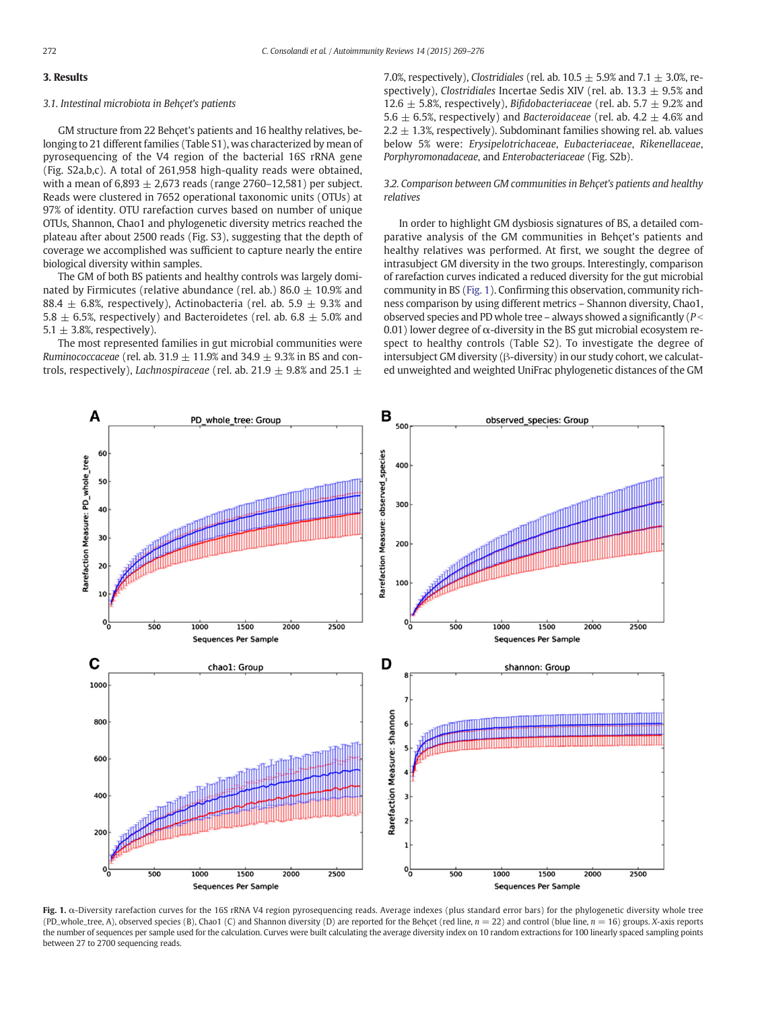# 3. Results

#### 3.1. Intestinal microbiota in Behçet's patients

GM structure from 22 Behçet's patients and 16 healthy relatives, belonging to 21 different families (Table S1), was characterized by mean of pyrosequencing of the V4 region of the bacterial 16S rRNA gene (Fig. S2a,b,c). A total of 261,958 high-quality reads were obtained, with a mean of  $6,893 \pm 2,673$  reads (range 2760–12,581) per subject. Reads were clustered in 7652 operational taxonomic units (OTUs) at 97% of identity. OTU rarefaction curves based on number of unique OTUs, Shannon, Chao1 and phylogenetic diversity metrics reached the plateau after about 2500 reads (Fig. S3), suggesting that the depth of coverage we accomplished was sufficient to capture nearly the entire biological diversity within samples.

The GM of both BS patients and healthy controls was largely dominated by Firmicutes (relative abundance (rel. ab.) 86.0  $\pm$  10.9% and 88.4  $\pm$  6.8%, respectively), Actinobacteria (rel. ab. 5.9  $\pm$  9.3% and 5.8  $\pm$  6.5%, respectively) and Bacteroidetes (rel. ab. 6.8  $\pm$  5.0% and 5.1  $\pm$  3.8%, respectively).

The most represented families in gut microbial communities were Ruminococcaceae (rel. ab. 31.9  $\pm$  11.9% and 34.9  $\pm$  9.3% in BS and controls, respectively), *Lachnospiraceae* (rel. ab. 21.9  $\pm$  9.8% and 25.1  $\pm$  7.0%, respectively), Clostridiales (rel. ab.  $10.5 \pm 5.9$ % and  $7.1 \pm 3.0$ %, respectively), Clostridiales Incertae Sedis XIV (rel. ab. 13.3  $\pm$  9.5% and 12.6  $\pm$  5.8%, respectively), Bifidobacteriaceae (rel. ab. 5.7  $\pm$  9.2% and 5.6  $\pm$  6.5%, respectively) and Bacteroidaceae (rel. ab. 4.2  $\pm$  4.6% and  $2.2 \pm 1.3$ %, respectively). Subdominant families showing rel. ab. values below 5% were: Erysipelotrichaceae, Eubacteriaceae, Rikenellaceae, Porphyromonadaceae, and Enterobacteriaceae (Fig. S2b).

3.2. Comparison between GM communities in Behçet's patients and healthy relatives

In order to highlight GM dysbiosis signatures of BS, a detailed comparative analysis of the GM communities in Behçet's patients and healthy relatives was performed. At first, we sought the degree of intrasubject GM diversity in the two groups. Interestingly, comparison of rarefaction curves indicated a reduced diversity for the gut microbial community in BS (Fig. 1). Confirming this observation, community richness comparison by using different metrics – Shannon diversity, Chao1, observed species and PD whole tree – always showed a significantly ( $P \le$ 0.01) lower degree of  $\alpha$ -diversity in the BS gut microbial ecosystem respect to healthy controls (Table S2). To investigate the degree of intersubject GM diversity (β-diversity) in our study cohort, we calculated unweighted and weighted UniFrac phylogenetic distances of the GM



Fig. 1. α-Diversity rarefaction curves for the 16S rRNA V4 region pyrosequencing reads. Average indexes (plus standard error bars) for the phylogenetic diversity whole tree (PD\_whole\_tree, A), observed species (B), Chao1 (C) and Shannon diversity (D) are reported for the Behçet (red line,  $n = 22$ ) and control (blue line,  $n = 16$ ) groups. X-axis reports the number of sequences per sample used for the calculation. Curves were built calculating the average diversity index on 10 random extractions for 100 linearly spaced sampling points between 27 to 2700 sequencing reads.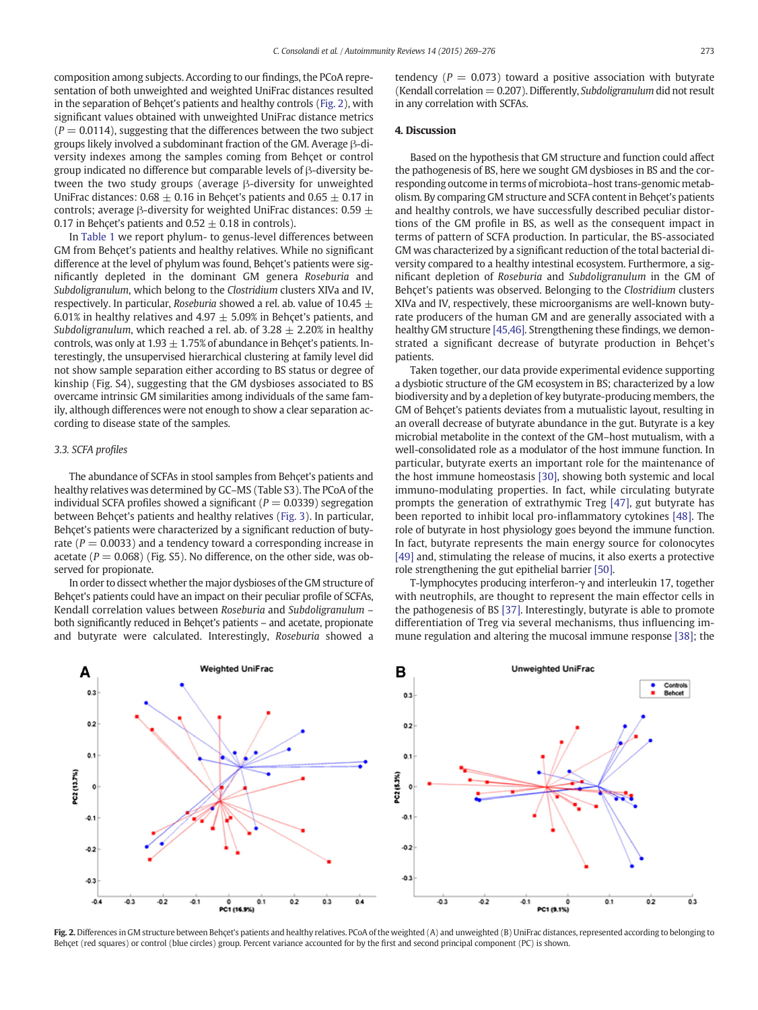composition among subjects. According to our findings, the PCoA representation of both unweighted and weighted UniFrac distances resulted in the separation of Behçet's patients and healthy controls (Fig. 2), with significant values obtained with unweighted UniFrac distance metrics  $(P = 0.0114)$ , suggesting that the differences between the two subject groups likely involved a subdominant fraction of the GM. Average β-diversity indexes among the samples coming from Behçet or control group indicated no difference but comparable levels of β-diversity between the two study groups (average β-diversity for unweighted UniFrac distances: 0.68  $\pm$  0.16 in Behçet's patients and 0.65  $\pm$  0.17 in controls; average β-diversity for weighted UniFrac distances:  $0.59 \pm$ 0.17 in Behçet's patients and  $0.52 \pm 0.18$  in controls).

In [Table 1](#page-5-0) we report phylum- to genus-level differences between GM from Behçet's patients and healthy relatives. While no significant difference at the level of phylum was found, Behçet's patients were significantly depleted in the dominant GM genera Roseburia and Subdoligranulum, which belong to the Clostridium clusters XIVa and IV, respectively. In particular, Roseburia showed a rel. ab. value of 10.45  $\pm$ 6.01% in healthy relatives and 4.97  $\pm$  5.09% in Behcet's patients, and Subdoligranulum, which reached a rel. ab. of 3.28  $\pm$  2.20% in healthy controls, was only at 1.93  $\pm$  1.75% of abundance in Behçet's patients. Interestingly, the unsupervised hierarchical clustering at family level did not show sample separation either according to BS status or degree of kinship (Fig. S4), suggesting that the GM dysbioses associated to BS overcame intrinsic GM similarities among individuals of the same family, although differences were not enough to show a clear separation according to disease state of the samples.

## 3.3. SCFA profiles

The abundance of SCFAs in stool samples from Behçet's patients and healthy relatives was determined by GC–MS (Table S3). The PCoA of the individual SCFA profiles showed a significant ( $P = 0.0339$ ) segregation between Behçet's patients and healthy relatives ([Fig. 3\)](#page-5-0). In particular, Behçet's patients were characterized by a significant reduction of butyrate ( $P = 0.0033$ ) and a tendency toward a corresponding increase in acetate ( $P = 0.068$ ) (Fig. S5). No difference, on the other side, was observed for propionate.

In order to dissect whether the major dysbioses of the GM structure of Behçet's patients could have an impact on their peculiar profile of SCFAs, Kendall correlation values between Roseburia and Subdoligranulum – both significantly reduced in Behçet's patients – and acetate, propionate and butyrate were calculated. Interestingly, Roseburia showed a

tendency ( $P = 0.073$ ) toward a positive association with butyrate (Kendall correlation  $= 0.207$ ). Differently, Subdoligranulum did not result in any correlation with SCFAs.

#### 4. Discussion

Based on the hypothesis that GM structure and function could affect the pathogenesis of BS, here we sought GM dysbioses in BS and the corresponding outcome in terms of microbiota–host trans-genomic metabolism. By comparing GM structure and SCFA content in Behçet's patients and healthy controls, we have successfully described peculiar distortions of the GM profile in BS, as well as the consequent impact in terms of pattern of SCFA production. In particular, the BS-associated GM was characterized by a significant reduction of the total bacterial diversity compared to a healthy intestinal ecosystem. Furthermore, a significant depletion of Roseburia and Subdoligranulum in the GM of Behçet's patients was observed. Belonging to the Clostridium clusters XIVa and IV, respectively, these microorganisms are well-known butyrate producers of the human GM and are generally associated with a healthy GM structure [\[45,46\]](#page-6-0). Strengthening these findings, we demonstrated a significant decrease of butyrate production in Behçet's patients.

Taken together, our data provide experimental evidence supporting a dysbiotic structure of the GM ecosystem in BS; characterized by a low biodiversity and by a depletion of key butyrate-producing members, the GM of Behçet's patients deviates from a mutualistic layout, resulting in an overall decrease of butyrate abundance in the gut. Butyrate is a key microbial metabolite in the context of the GM–host mutualism, with a well-consolidated role as a modulator of the host immune function. In particular, butyrate exerts an important role for the maintenance of the host immune homeostasis [\[30\],](#page-6-0) showing both systemic and local immuno-modulating properties. In fact, while circulating butyrate prompts the generation of extrathymic Treg [\[47\],](#page-6-0) gut butyrate has been reported to inhibit local pro-inflammatory cytokines [\[48\].](#page-6-0) The role of butyrate in host physiology goes beyond the immune function. In fact, butyrate represents the main energy source for colonocytes [\[49\]](#page-6-0) and, stimulating the release of mucins, it also exerts a protective role strengthening the gut epithelial barrier [\[50\]](#page-7-0).

T-lymphocytes producing interferon-γ and interleukin 17, together with neutrophils, are thought to represent the main effector cells in the pathogenesis of BS [\[37\]](#page-6-0). Interestingly, butyrate is able to promote differentiation of Treg via several mechanisms, thus influencing immune regulation and altering the mucosal immune response [\[38\];](#page-6-0) the



Fig. 2. Differences in GM structure between Behçet's patients and healthy relatives. PCoA of the weighted (A) and unweighted (B) UniFrac distances, represented according to belonging to Behçet (red squares) or control (blue circles) group. Percent variance accounted for by the first and second principal component (PC) is shown.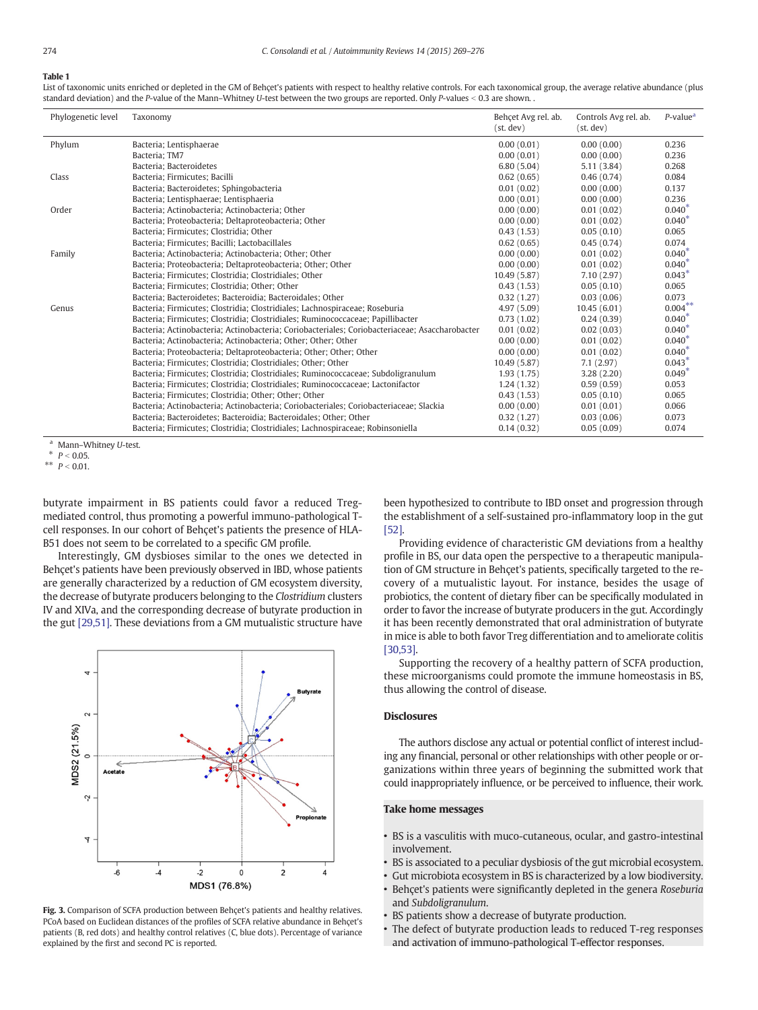#### <span id="page-5-0"></span>Table 1

List of taxonomic units enriched or depleted in the GM of Behçet's patients with respect to healthy relative controls. For each taxonomical group, the average relative abundance (plus standard deviation) and the P-value of the Mann-Whitney U-test between the two groups are reported. Only P-values < 0.3 are shown. .

| Phylogenetic level | Taxonomy                                                                                       | Behcet Avg rel, ab.<br>(st, dev) | Controls Avg rel. ab.<br>(st, dev) | $P$ -value <sup>a</sup> |
|--------------------|------------------------------------------------------------------------------------------------|----------------------------------|------------------------------------|-------------------------|
| Phylum             | Bacteria; Lentisphaerae                                                                        | 0.00(0.01)                       | 0.00(0.00)                         | 0.236                   |
|                    | Bacteria: TM7                                                                                  | 0.00(0.01)                       | 0.00(0.00)                         | 0.236                   |
|                    | Bacteria; Bacteroidetes                                                                        | 6.80(5.04)                       | 5.11(3.84)                         | 0.268                   |
| Class              | Bacteria; Firmicutes; Bacilli                                                                  | 0.62(0.65)                       | 0.46(0.74)                         | 0.084                   |
|                    | Bacteria; Bacteroidetes; Sphingobacteria                                                       | 0.01(0.02)                       | 0.00(0.00)                         | 0.137                   |
|                    | Bacteria; Lentisphaerae; Lentisphaeria                                                         | 0.00(0.01)                       | 0.00(0.00)                         | 0.236                   |
| Order              | Bacteria; Actinobacteria; Actinobacteria; Other                                                | 0.00(0.00)                       | 0.01(0.02)                         | $0.040*$                |
|                    | Bacteria; Proteobacteria; Deltaproteobacteria; Other                                           | 0.00(0.00)                       | 0.01(0.02)                         | $0.040*$                |
|                    | Bacteria; Firmicutes; Clostridia; Other                                                        | 0.43(1.53)                       | 0.05(0.10)                         | 0.065                   |
|                    | Bacteria; Firmicutes; Bacilli; Lactobacillales                                                 | 0.62(0.65)                       | 0.45(0.74)                         | 0.074                   |
| Family             | Bacteria; Actinobacteria; Actinobacteria; Other; Other                                         | 0.00(0.00)                       | 0.01(0.02)                         | $0.040*$                |
|                    | Bacteria; Proteobacteria; Deltaproteobacteria; Other; Other                                    | 0.00(0.00)                       | 0.01(0.02)                         | $0.040*$                |
|                    | Bacteria; Firmicutes; Clostridia; Clostridiales; Other                                         | 10.49 (5.87)                     | 7.10(2.97)                         | $0.043*$                |
|                    | Bacteria: Firmicutes: Clostridia: Other: Other                                                 | 0.43(1.53)                       | 0.05(0.10)                         | 0.065                   |
|                    | Bacteria: Bacteroidetes: Bacteroidia: Bacteroidales: Other                                     | 0.32(1.27)                       | 0.03(0.06)                         | 0.073                   |
| Genus              | Bacteria; Firmicutes; Clostridia; Clostridiales; Lachnospiraceae; Roseburia                    | 4.97 (5.09)                      | 10.45(6.01)                        | $0.004***$              |
|                    | Bacteria; Firmicutes; Clostridia; Clostridiales; Ruminococcaceae; Papillibacter                | 0.73(1.02)                       | 0.24(0.39)                         | $0.040*$                |
|                    | Bacteria; Actinobacteria; Actinobacteria; Coriobacteriales; Coriobacteriaceae; Asaccharobacter | 0.01(0.02)                       | 0.02(0.03)                         | $0.040*$                |
|                    | Bacteria; Actinobacteria; Actinobacteria; Other; Other; Other                                  | 0.00(0.00)                       | 0.01(0.02)                         | $0.040*$                |
|                    | Bacteria; Proteobacteria; Deltaproteobacteria; Other; Other; Other                             | 0.00(0.00)                       | 0.01(0.02)                         | $0.040*$                |
|                    | Bacteria: Firmicutes: Clostridia: Clostridiales: Other: Other                                  | 10.49 (5.87)                     | 7.1(2.97)                          | $0.043*$                |
|                    | Bacteria; Firmicutes; Clostridia; Clostridiales; Ruminococcaceae; Subdoligranulum              | 1.93(1.75)                       | 3.28(2.20)                         | $0.049*$                |
|                    | Bacteria; Firmicutes; Clostridia; Clostridiales; Ruminococcaceae; Lactonifactor                | 1.24(1.32)                       | 0.59(0.59)                         | 0.053                   |
|                    | Bacteria; Firmicutes; Clostridia; Other; Other; Other                                          | 0.43(1.53)                       | 0.05(0.10)                         | 0.065                   |
|                    | Bacteria; Actinobacteria; Actinobacteria; Coriobacteriales; Coriobacteriaceae; Slackia         | 0.00(0.00)                       | 0.01(0.01)                         | 0.066                   |
|                    | Bacteria; Bacteroidetes; Bacteroidia; Bacteroidales; Other; Other                              | 0.32(1.27)                       | 0.03(0.06)                         | 0.073                   |
|                    | Bacteria; Firmicutes; Clostridia; Clostridiales; Lachnospiraceae; Robinsoniella                | 0.14(0.32)                       | 0.05(0.09)                         | 0.074                   |

Mann–Whitney U-test.

 $P < 0.05$ 

\*\*  $P < 0.01$ .

butyrate impairment in BS patients could favor a reduced Tregmediated control, thus promoting a powerful immuno-pathological Tcell responses. In our cohort of Behçet's patients the presence of HLA-B51 does not seem to be correlated to a specific GM profile.

Interestingly, GM dysbioses similar to the ones we detected in Behçet's patients have been previously observed in IBD, whose patients are generally characterized by a reduction of GM ecosystem diversity, the decrease of butyrate producers belonging to the Clostridium clusters IV and XIVa, and the corresponding decrease of butyrate production in the gut [\[29,51\]](#page-6-0). These deviations from a GM mutualistic structure have



Fig. 3. Comparison of SCFA production between Behçet's patients and healthy relatives. PCoA based on Euclidean distances of the profiles of SCFA relative abundance in Behçet's patients (B, red dots) and healthy control relatives (C, blue dots). Percentage of variance explained by the first and second PC is reported.

been hypothesized to contribute to IBD onset and progression through the establishment of a self-sustained pro-inflammatory loop in the gut [\[52\]](#page-7-0).

Providing evidence of characteristic GM deviations from a healthy profile in BS, our data open the perspective to a therapeutic manipulation of GM structure in Behçet's patients, specifically targeted to the recovery of a mutualistic layout. For instance, besides the usage of probiotics, the content of dietary fiber can be specifically modulated in order to favor the increase of butyrate producers in the gut. Accordingly it has been recently demonstrated that oral administration of butyrate in mice is able to both favor Treg differentiation and to ameliorate colitis [\[30,53\].](#page-6-0)

Supporting the recovery of a healthy pattern of SCFA production, these microorganisms could promote the immune homeostasis in BS, thus allowing the control of disease.

# **Disclosures**

The authors disclose any actual or potential conflict of interest including any financial, personal or other relationships with other people or organizations within three years of beginning the submitted work that could inappropriately influence, or be perceived to influence, their work.

#### Take home messages

- BS is a vasculitis with muco-cutaneous, ocular, and gastro-intestinal involvement.
- BS is associated to a peculiar dysbiosis of the gut microbial ecosystem.
- Gut microbiota ecosystem in BS is characterized by a low biodiversity.
- Behçet's patients were significantly depleted in the genera Roseburia and Subdoligranulum.
- BS patients show a decrease of butyrate production.
- The defect of butyrate production leads to reduced T-reg responses
- and activation of immuno-pathological T-effector responses.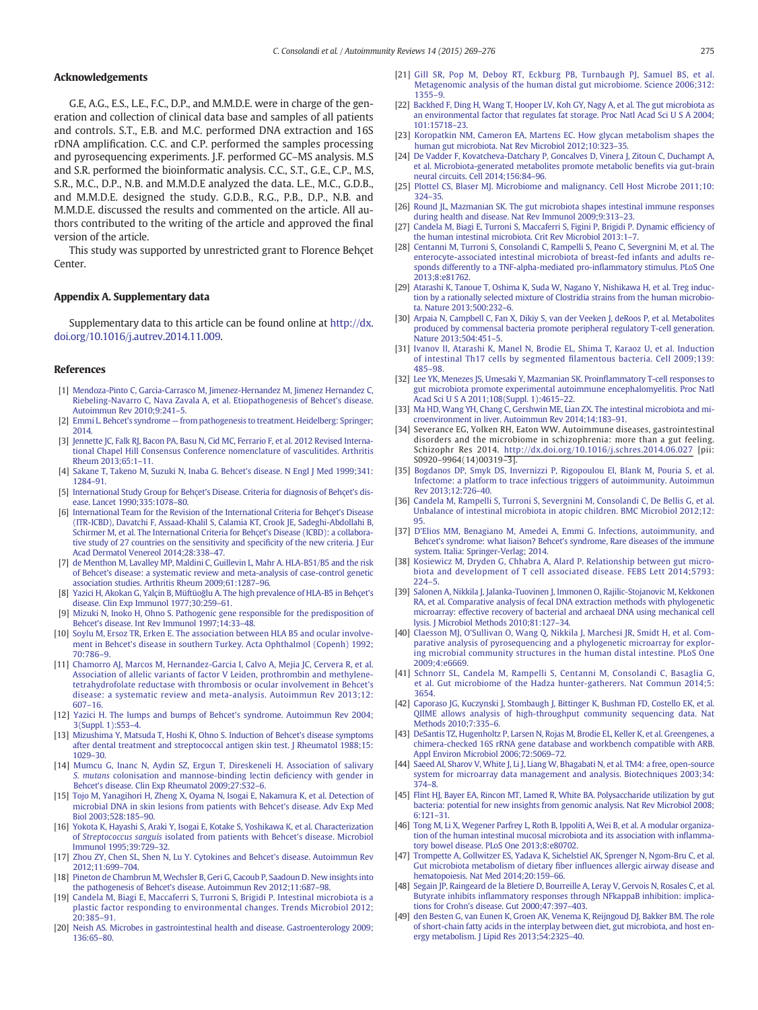# <span id="page-6-0"></span>Acknowledgements

G.E, A.G., E.S., L.E., F.C., D.P., and M.M.D.E. were in charge of the generation and collection of clinical data base and samples of all patients and controls. S.T., E.B. and M.C. performed DNA extraction and 16S rDNA amplification. C.C. and C.P. performed the samples processing and pyrosequencing experiments. J.F. performed GC–MS analysis. M.S and S.R. performed the bioinformatic analysis. C.C., S.T., G.E., C.P., M.S, S.R., M.C., D.P., N.B. and M.M.D.E analyzed the data. L.E., M.C., G.D.B., and M.M.D.E. designed the study. G.D.B., R.G., P.B., D.P., N.B. and M.M.D.E. discussed the results and commented on the article. All authors contributed to the writing of the article and approved the final version of the article.

This study was supported by unrestricted grant to Florence Behçet **Center** 

#### Appendix A. Supplementary data

Supplementary data to this article can be found online at [http://dx.](http://dx.doi.org/10.1016/j.autrev.2014.11.009) [doi.org/10.1016/j.autrev.2014.11.009](http://dx.doi.org/10.1016/j.autrev.2014.11.009).

#### References

- [1] [Mendoza-Pinto C, Garcia-Carrasco M, Jimenez-Hernandez M, Jimenez Hernandez C,](http://refhub.elsevier.com/S1568-9972(14)00281-X/rf0005) [Riebeling-Navarro C, Nava Zavala A, et al. Etiopathogenesis of Behcet's disease.](http://refhub.elsevier.com/S1568-9972(14)00281-X/rf0005) [Autoimmun Rev 2010;9:241](http://refhub.elsevier.com/S1568-9972(14)00281-X/rf0005)–5.
- [2] Emmi L. Behcet's syndrome [from pathogenesis to treatment. Heidelberg: Springer;](http://refhub.elsevier.com/S1568-9972(14)00281-X/rf0010) [2014.](http://refhub.elsevier.com/S1568-9972(14)00281-X/rf0010)
- [3] [Jennette JC, Falk RJ, Bacon PA, Basu N, Cid MC, Ferrario F, et al. 2012 Revised Interna](http://refhub.elsevier.com/S1568-9972(14)00281-X/rf0015)[tional Chapel Hill Consensus Conference nomenclature of vasculitides. Arthritis](http://refhub.elsevier.com/S1568-9972(14)00281-X/rf0015) [Rheum 2013;65:1](http://refhub.elsevier.com/S1568-9972(14)00281-X/rf0015)–11.
- [4] [Sakane T, Takeno M, Suzuki N, Inaba G. Behcet's disease. N Engl J Med 1999;341:](http://refhub.elsevier.com/S1568-9972(14)00281-X/rf0020) [1284](http://refhub.elsevier.com/S1568-9972(14)00281-X/rf0020)–91.
- [5] [International Study Group for Behçet's Disease. Criteria for diagnosis of Behçet's dis](http://refhub.elsevier.com/S1568-9972(14)00281-X/rf0285)[ease. Lancet 1990;335:1078](http://refhub.elsevier.com/S1568-9972(14)00281-X/rf0285)–80.
- [6] [International Team for the Revision of the International Criteria for Behçet's Disease](http://refhub.elsevier.com/S1568-9972(14)00281-X/rf0245) [\(ITR-ICBD\), Davatchi F, Assaad-Khalil S, Calamia KT, Crook JE, Sadeghi-Abdollahi B,](http://refhub.elsevier.com/S1568-9972(14)00281-X/rf0245) [Schirmer M, et al. The International Criteria for Behçet's Disease \(ICBD\): a collabora](http://refhub.elsevier.com/S1568-9972(14)00281-X/rf0245)[tive study of 27 countries on the sensitivity and speci](http://refhub.elsevier.com/S1568-9972(14)00281-X/rf0245)ficity of the new criteria. J Eur [Acad Dermatol Venereol 2014;28:338](http://refhub.elsevier.com/S1568-9972(14)00281-X/rf0245)–47.
- [7] de Menthon M, Lavalley MP, Maldini C, Guillevin L, Mahr A, HLA-B51/B5 and the risk [of Behcet's disease: a systematic review and meta-analysis of case-control genetic](http://refhub.elsevier.com/S1568-9972(14)00281-X/rf0025) [association studies. Arthritis Rheum 2009;61:1287](http://refhub.elsevier.com/S1568-9972(14)00281-X/rf0025)–96.
- [8] Yazici H, Akokan G, Yalçin B, Müftüoğ[lu A. The high prevalence of HLA-B5 in Behçet's](http://refhub.elsevier.com/S1568-9972(14)00281-X/rf0030) [disease. Clin Exp Immunol 1977;30:259](http://refhub.elsevier.com/S1568-9972(14)00281-X/rf0030)–61.
- [9] [Mizuki N, Inoko H, Ohno S. Pathogenic gene responsible for the predisposition of](http://refhub.elsevier.com/S1568-9972(14)00281-X/rf0035) [Behcet's disease. Int Rev Immunol 1997;14:33](http://refhub.elsevier.com/S1568-9972(14)00281-X/rf0035)–48.
- [10] [Soylu M, Ersoz TR, Erken E. The association between HLA B5 and ocular involve](http://refhub.elsevier.com/S1568-9972(14)00281-X/rf0040)[ment in Behcet's disease in southern Turkey. Acta Ophthalmol \(Copenh\) 1992;](http://refhub.elsevier.com/S1568-9972(14)00281-X/rf0040) [70:786](http://refhub.elsevier.com/S1568-9972(14)00281-X/rf0040)–9.
- [11] [Chamorro AJ, Marcos M, Hernandez-Garcia I, Calvo A, Mejia JC, Cervera R, et al.](http://refhub.elsevier.com/S1568-9972(14)00281-X/rf0045) [Association of allelic variants of factor V Leiden, prothrombin and methylene](http://refhub.elsevier.com/S1568-9972(14)00281-X/rf0045)[tetrahydrofolate reductase with thrombosis or ocular involvement in Behcet's](http://refhub.elsevier.com/S1568-9972(14)00281-X/rf0045) [disease: a systematic review and meta-analysis. Autoimmun Rev 2013;12:](http://refhub.elsevier.com/S1568-9972(14)00281-X/rf0045) [607](http://refhub.elsevier.com/S1568-9972(14)00281-X/rf0045)–16.
- [12] [Yazici H. The lumps and bumps of Behcet's syndrome. Autoimmun Rev 2004;](http://refhub.elsevier.com/S1568-9972(14)00281-X/rf0050) [3\(Suppl. 1\):S53](http://refhub.elsevier.com/S1568-9972(14)00281-X/rf0050)–4.
- [13] [Mizushima Y, Matsuda T, Hoshi K, Ohno S. Induction of Behcet's disease symptoms](http://refhub.elsevier.com/S1568-9972(14)00281-X/rf0055) [after dental treatment and streptococcal antigen skin test. J Rheumatol 1988;15:](http://refhub.elsevier.com/S1568-9972(14)00281-X/rf0055) [1029](http://refhub.elsevier.com/S1568-9972(14)00281-X/rf0055)–30.
- [14] [Mumcu G, Inanc N, Aydin SZ, Ergun T, Direskeneli H. Association of salivary](http://refhub.elsevier.com/S1568-9972(14)00281-X/rf0060) S. mutans [colonisation and mannose-binding lectin de](http://refhub.elsevier.com/S1568-9972(14)00281-X/rf0060)ficiency with gender in [Behcet's disease. Clin Exp Rheumatol 2009;27:S32](http://refhub.elsevier.com/S1568-9972(14)00281-X/rf0060)–6.
- [15] [Tojo M, Yanagihori H, Zheng X, Oyama N, Isogai E, Nakamura K, et al. Detection of](http://refhub.elsevier.com/S1568-9972(14)00281-X/rf0065) [microbial DNA in skin lesions from patients with Behcet's disease. Adv Exp Med](http://refhub.elsevier.com/S1568-9972(14)00281-X/rf0065) [Biol 2003;528:185](http://refhub.elsevier.com/S1568-9972(14)00281-X/rf0065)–90.
- [16] [Yokota K, Hayashi S, Araki Y, Isogai E, Kotake S, Yoshikawa K, et al. Characterization](http://refhub.elsevier.com/S1568-9972(14)00281-X/rf0070) of Streptococcus sanguis [isolated from patients with Behcet's disease. Microbiol](http://refhub.elsevier.com/S1568-9972(14)00281-X/rf0070) [Immunol 1995;39:729](http://refhub.elsevier.com/S1568-9972(14)00281-X/rf0070)–32.
- [17] [Zhou ZY, Chen SL, Shen N, Lu Y. Cytokines and Behcet's disease. Autoimmun Rev](http://refhub.elsevier.com/S1568-9972(14)00281-X/rf0075) [2012;11:699](http://refhub.elsevier.com/S1568-9972(14)00281-X/rf0075)–704.
- [18] [Pineton de Chambrun M, Wechsler B, Geri G, Cacoub P, Saadoun D. New insights into](http://refhub.elsevier.com/S1568-9972(14)00281-X/rf0250) [the pathogenesis of Behcet's disease. Autoimmun Rev 2012;11:687](http://refhub.elsevier.com/S1568-9972(14)00281-X/rf0250)–98.
- [19] [Candela M, Biagi E, Maccaferri S, Turroni S, Brigidi P. Intestinal microbiota is a](http://refhub.elsevier.com/S1568-9972(14)00281-X/rf0080) [plastic factor responding to environmental changes. Trends Microbiol 2012;](http://refhub.elsevier.com/S1568-9972(14)00281-X/rf0080) [20:385](http://refhub.elsevier.com/S1568-9972(14)00281-X/rf0080)–91.
- [20] [Neish AS. Microbes in gastrointestinal health and disease. Gastroenterology 2009;](http://refhub.elsevier.com/S1568-9972(14)00281-X/rf0085) [136:65](http://refhub.elsevier.com/S1568-9972(14)00281-X/rf0085)–80.
- [21] [Gill SR, Pop M, Deboy RT, Eckburg PB, Turnbaugh PJ, Samuel BS, et al.](http://refhub.elsevier.com/S1568-9972(14)00281-X/rf0090) [Metagenomic analysis of the human distal gut microbiome. Science 2006;312:](http://refhub.elsevier.com/S1568-9972(14)00281-X/rf0090) [1355](http://refhub.elsevier.com/S1568-9972(14)00281-X/rf0090)–9.
- [22] [Backhed F, Ding H, Wang T, Hooper LV, Koh GY, Nagy A, et al. The gut microbiota as](http://refhub.elsevier.com/S1568-9972(14)00281-X/rf0095) [an environmental factor that regulates fat storage. Proc Natl Acad Sci U S A 2004;](http://refhub.elsevier.com/S1568-9972(14)00281-X/rf0095) [101:15718](http://refhub.elsevier.com/S1568-9972(14)00281-X/rf0095)–23.
- [23] [Koropatkin NM, Cameron EA, Martens EC. How glycan metabolism shapes the](http://refhub.elsevier.com/S1568-9972(14)00281-X/rf0100) [human gut microbiota. Nat Rev Microbiol 2012;10:323](http://refhub.elsevier.com/S1568-9972(14)00281-X/rf0100)–35.
- [24] [De Vadder F, Kovatcheva-Datchary P, Goncalves D, Vinera J, Zitoun C, Duchampt A,](http://refhub.elsevier.com/S1568-9972(14)00281-X/rf0105) [et al. Microbiota-generated metabolites promote metabolic bene](http://refhub.elsevier.com/S1568-9972(14)00281-X/rf0105)fits via gut-brain [neural circuits. Cell 2014;156:84](http://refhub.elsevier.com/S1568-9972(14)00281-X/rf0105)–96.
- [25] [Plottel CS, Blaser MJ. Microbiome and malignancy. Cell Host Microbe 2011;10:](http://refhub.elsevier.com/S1568-9972(14)00281-X/rf0110) [324](http://refhub.elsevier.com/S1568-9972(14)00281-X/rf0110)–35.
- [26] [Round JL, Mazmanian SK. The gut microbiota shapes intestinal immune responses](http://refhub.elsevier.com/S1568-9972(14)00281-X/rf0115) [during health and disease. Nat Rev Immunol 2009;9:313](http://refhub.elsevier.com/S1568-9972(14)00281-X/rf0115)–23.
- [27] [Candela M, Biagi E, Turroni S, Maccaferri S, Figini P, Brigidi P. Dynamic ef](http://refhub.elsevier.com/S1568-9972(14)00281-X/rf0120)ficiency of [the human intestinal microbiota. Crit Rev Microbiol 2013:1](http://refhub.elsevier.com/S1568-9972(14)00281-X/rf0120)–7.
- [28] [Centanni M, Turroni S, Consolandi C, Rampelli S, Peano C, Severgnini M, et al. The](http://refhub.elsevier.com/S1568-9972(14)00281-X/rf0125) [enterocyte-associated intestinal microbiota of breast-fed infants and adults re](http://refhub.elsevier.com/S1568-9972(14)00281-X/rf0125)[sponds differently to a TNF-alpha-mediated pro-in](http://refhub.elsevier.com/S1568-9972(14)00281-X/rf0125)flammatory stimulus. PLoS One [2013;8:e81762.](http://refhub.elsevier.com/S1568-9972(14)00281-X/rf0125)
- [29] [Atarashi K, Tanoue T, Oshima K, Suda W, Nagano Y, Nishikawa H, et al. Treg induc](http://refhub.elsevier.com/S1568-9972(14)00281-X/rf0130)[tion by a rationally selected mixture of Clostridia strains from the human microbio](http://refhub.elsevier.com/S1568-9972(14)00281-X/rf0130)[ta. Nature 2013;500:232](http://refhub.elsevier.com/S1568-9972(14)00281-X/rf0130)–6.
- [30] [Arpaia N, Campbell C, Fan X, Dikiy S, van der Veeken J, deRoos P, et al. Metabolites](http://refhub.elsevier.com/S1568-9972(14)00281-X/rf0255) [produced by commensal bacteria promote peripheral regulatory T-cell generation.](http://refhub.elsevier.com/S1568-9972(14)00281-X/rf0255) [Nature 2013;504:451](http://refhub.elsevier.com/S1568-9972(14)00281-X/rf0255)–5.
- [31] [Ivanov II, Atarashi K, Manel N, Brodie EL, Shima T, Karaoz U, et al. Induction](http://refhub.elsevier.com/S1568-9972(14)00281-X/rf0140) [of intestinal Th17 cells by segmented](http://refhub.elsevier.com/S1568-9972(14)00281-X/rf0140) filamentous bacteria. Cell 2009;139: [485](http://refhub.elsevier.com/S1568-9972(14)00281-X/rf0140)–98.
- [32] [Lee YK, Menezes JS, Umesaki Y, Mazmanian SK. Proin](http://refhub.elsevier.com/S1568-9972(14)00281-X/rf0145)flammatory T-cell responses to [gut microbiota promote experimental autoimmune encephalomyelitis. Proc Natl](http://refhub.elsevier.com/S1568-9972(14)00281-X/rf0145) [Acad Sci U S A 2011;108\(Suppl. 1\):4615](http://refhub.elsevier.com/S1568-9972(14)00281-X/rf0145)–22.
- [33] [Ma HD, Wang YH, Chang C, Gershwin ME, Lian ZX. The intestinal microbiota and mi](http://refhub.elsevier.com/S1568-9972(14)00281-X/rf0260)[croenvironment in liver. Autoimmun Rev 2014;14:183](http://refhub.elsevier.com/S1568-9972(14)00281-X/rf0260)–91.
- [34] Severance EG, Yolken RH, Eaton WW. Autoimmune diseases, gastrointestinal disorders and the microbiome in schizophrenia: more than a gut feeling. Schizophr Res 2014. <http://dx.doi.org/10.1016/j.schres.2014.06.027> [pii: S0920–9964(14)00319–3].
- [35] [Bogdanos DP, Smyk DS, Invernizzi P, Rigopoulou EI, Blank M, Pouria S, et al.](http://refhub.elsevier.com/S1568-9972(14)00281-X/rf0150) [Infectome: a platform to trace infectious triggers of autoimmunity. Autoimmun](http://refhub.elsevier.com/S1568-9972(14)00281-X/rf0150) [Rev 2013;12:726](http://refhub.elsevier.com/S1568-9972(14)00281-X/rf0150)–40.
- [36] [Candela M, Rampelli S, Turroni S, Severgnini M, Consolandi C, De Bellis G, et al.](http://refhub.elsevier.com/S1568-9972(14)00281-X/rf0155) [Unbalance of intestinal microbiota in atopic children. BMC Microbiol 2012;12:](http://refhub.elsevier.com/S1568-9972(14)00281-X/rf0155) [95.](http://refhub.elsevier.com/S1568-9972(14)00281-X/rf0155)
- [37] [D'Elios MM, Benagiano M, Amedei A, Emmi G. Infections, autoimmunity, and](http://refhub.elsevier.com/S1568-9972(14)00281-X/rf0270) [Behcet's syndrome: what liaison? Behcet's syndrome, Rare diseases of the immune](http://refhub.elsevier.com/S1568-9972(14)00281-X/rf0270) [system. Italia: Springer-Verlag; 2014.](http://refhub.elsevier.com/S1568-9972(14)00281-X/rf0270)
- [38] [Kosiewicz M, Dryden G, Chhabra A, Alard P. Relationship between gut micro](http://refhub.elsevier.com/S1568-9972(14)00281-X/rf0165)[biota and development of T cell associated disease. FEBS Lett 2014;5793:](http://refhub.elsevier.com/S1568-9972(14)00281-X/rf0165) [224](http://refhub.elsevier.com/S1568-9972(14)00281-X/rf0165)–5.
- [39] [Salonen A, Nikkila J, Jalanka-Tuovinen J, Immonen O, Rajilic-Stojanovic M, Kekkonen](http://refhub.elsevier.com/S1568-9972(14)00281-X/rf0170) [RA, et al. Comparative analysis of fecal DNA extraction methods with phylogenetic](http://refhub.elsevier.com/S1568-9972(14)00281-X/rf0170) [microarray: effective recovery of bacterial and archaeal DNA using mechanical cell](http://refhub.elsevier.com/S1568-9972(14)00281-X/rf0170) [lysis. J Microbiol Methods 2010;81:127](http://refhub.elsevier.com/S1568-9972(14)00281-X/rf0170)–34.
- [40] [Claesson MJ, O'Sullivan O, Wang Q, Nikkila J, Marchesi JR, Smidt H, et al. Com](http://refhub.elsevier.com/S1568-9972(14)00281-X/rf0175)[parative analysis of pyrosequencing and a phylogenetic microarray for explor](http://refhub.elsevier.com/S1568-9972(14)00281-X/rf0175)[ing microbial community structures in the human distal intestine. PLoS One](http://refhub.elsevier.com/S1568-9972(14)00281-X/rf0175) [2009;4:e6669.](http://refhub.elsevier.com/S1568-9972(14)00281-X/rf0175)
- [41] [Schnorr SL, Candela M, Rampelli S, Centanni M, Consolandi C, Basaglia G,](http://refhub.elsevier.com/S1568-9972(14)00281-X/rf0180) [et al. Gut microbiome of the Hadza hunter-gatherers. Nat Commun 2014;5:](http://refhub.elsevier.com/S1568-9972(14)00281-X/rf0180) [3654.](http://refhub.elsevier.com/S1568-9972(14)00281-X/rf0180)
- [42] [Caporaso JG, Kuczynski J, Stombaugh J, Bittinger K, Bushman FD, Costello EK, et al.](http://refhub.elsevier.com/S1568-9972(14)00281-X/rf0185) [QIIME allows analysis of high-throughput community sequencing data. Nat](http://refhub.elsevier.com/S1568-9972(14)00281-X/rf0185) [Methods 2010;7:335](http://refhub.elsevier.com/S1568-9972(14)00281-X/rf0185)–6.
- [43] [DeSantis TZ, Hugenholtz P, Larsen N, Rojas M, Brodie EL, Keller K, et al. Greengenes, a](http://refhub.elsevier.com/S1568-9972(14)00281-X/rf0190) [chimera-checked 16S rRNA gene database and workbench compatible with ARB.](http://refhub.elsevier.com/S1568-9972(14)00281-X/rf0190) [Appl Environ Microbiol 2006;72:5069](http://refhub.elsevier.com/S1568-9972(14)00281-X/rf0190)–72.
- [44] [Saeed AI, Sharov V, White J, Li J, Liang W, Bhagabati N, et al. TM4: a free, open-source](http://refhub.elsevier.com/S1568-9972(14)00281-X/rf0195) [system for microarray data management and analysis. Biotechniques 2003;34:](http://refhub.elsevier.com/S1568-9972(14)00281-X/rf0195) [374](http://refhub.elsevier.com/S1568-9972(14)00281-X/rf0195)–8.
- [45] [Flint HJ, Bayer EA, Rincon MT, Lamed R, White BA. Polysaccharide utilization by gut](http://refhub.elsevier.com/S1568-9972(14)00281-X/rf0200) [bacteria: potential for new insights from genomic analysis. Nat Rev Microbiol 2008;](http://refhub.elsevier.com/S1568-9972(14)00281-X/rf0200) [6:121](http://refhub.elsevier.com/S1568-9972(14)00281-X/rf0200)–31.
- [46] [Tong M, Li X, Wegener Parfrey L, Roth B, Ippoliti A, Wei B, et al. A modular organiza](http://refhub.elsevier.com/S1568-9972(14)00281-X/rf0205)[tion of the human intestinal mucosal microbiota and its association with in](http://refhub.elsevier.com/S1568-9972(14)00281-X/rf0205)flamma[tory bowel disease. PLoS One 2013;8:e80702.](http://refhub.elsevier.com/S1568-9972(14)00281-X/rf0205)
- [47] [Trompette A, Gollwitzer ES, Yadava K, Sichelstiel AK, Sprenger N, Ngom-Bru C, et al.](http://refhub.elsevier.com/S1568-9972(14)00281-X/rf0210) [Gut microbiota metabolism of dietary](http://refhub.elsevier.com/S1568-9972(14)00281-X/rf0210) fiber influences allergic airway disease and [hematopoiesis. Nat Med 2014;20:159](http://refhub.elsevier.com/S1568-9972(14)00281-X/rf0210)–66.
- [48] [Segain JP, Raingeard de la Bletiere D, Bourreille A, Leray V, Gervois N, Rosales C, et al.](http://refhub.elsevier.com/S1568-9972(14)00281-X/rf0275) Butyrate inhibits infl[ammatory responses through NFkappaB inhibition: implica](http://refhub.elsevier.com/S1568-9972(14)00281-X/rf0275)[tions for Crohn's disease. Gut 2000;47:397](http://refhub.elsevier.com/S1568-9972(14)00281-X/rf0275)–403.
- [49] [den Besten G, van Eunen K, Groen AK, Venema K, Reijngoud DJ, Bakker BM. The role](http://refhub.elsevier.com/S1568-9972(14)00281-X/rf0220) [of short-chain fatty acids in the interplay between diet, gut microbiota, and host en](http://refhub.elsevier.com/S1568-9972(14)00281-X/rf0220)[ergy metabolism. J Lipid Res 2013;54:2325](http://refhub.elsevier.com/S1568-9972(14)00281-X/rf0220)–40.